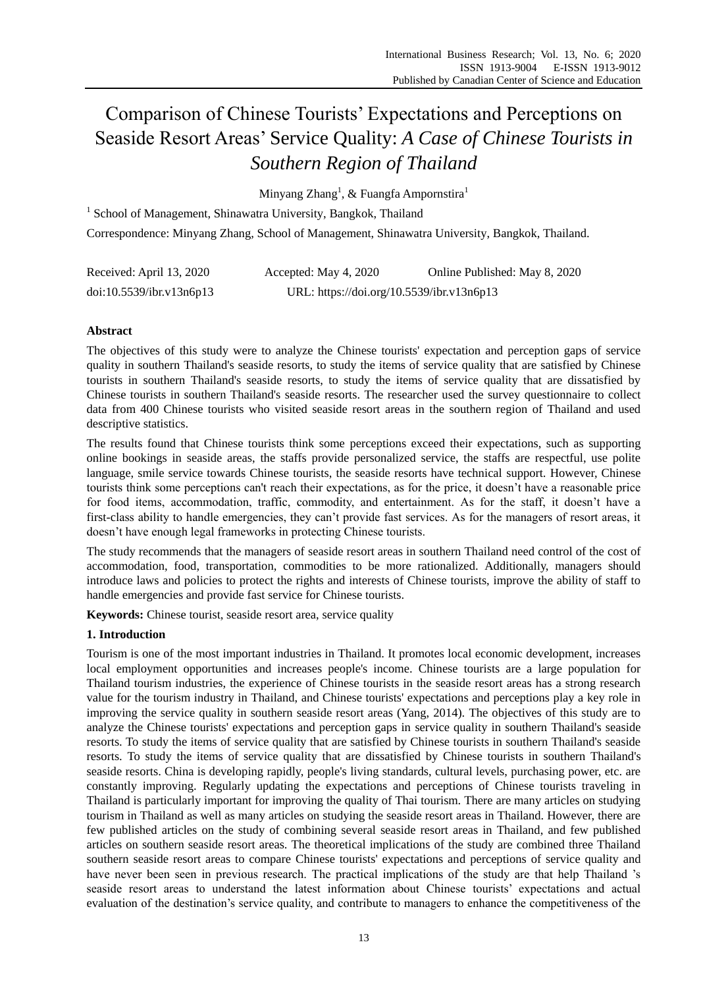# Comparison of Chinese Tourists' Expectations and Perceptions on Seaside Resort Areas' Service Quality: *A Case of Chinese Tourists in Southern Region of Thailand*

Minyang Zhang $^{\rm l}$ , & Fuangfa Ampornstira $^{\rm l}$ 

<sup>1</sup> School of Management, Shinawatra University, Bangkok, Thailand Correspondence: Minyang Zhang, School of Management, Shinawatra University, Bangkok, Thailand.

| Received: April 13, 2020 | Accepted: May 4, 2020                     | Online Published: May 8, 2020 |
|--------------------------|-------------------------------------------|-------------------------------|
| doi:10.5539/ibr.v13n6p13 | URL: https://doi.org/10.5539/ibr.v13n6p13 |                               |

## **Abstract**

The objectives of this study were to analyze the Chinese tourists' expectation and perception gaps of service quality in southern Thailand's seaside resorts, to study the items of service quality that are satisfied by Chinese tourists in southern Thailand's seaside resorts, to study the items of service quality that are dissatisfied by Chinese tourists in southern Thailand's seaside resorts. The researcher used the survey questionnaire to collect data from 400 Chinese tourists who visited seaside resort areas in the southern region of Thailand and used descriptive statistics.

The results found that Chinese tourists think some perceptions exceed their expectations, such as supporting online bookings in seaside areas, the staffs provide personalized service, the staffs are respectful, use polite language, smile service towards Chinese tourists, the seaside resorts have technical support. However, Chinese tourists think some perceptions can't reach their expectations, as for the price, it doesn't have a reasonable price for food items, accommodation, traffic, commodity, and entertainment. As for the staff, it doesn't have a first-class ability to handle emergencies, they can't provide fast services. As for the managers of resort areas, it doesn't have enough legal frameworks in protecting Chinese tourists.

The study recommends that the managers of seaside resort areas in southern Thailand need control of the cost of accommodation, food, transportation, commodities to be more rationalized. Additionally, managers should introduce laws and policies to protect the rights and interests of Chinese tourists, improve the ability of staff to handle emergencies and provide fast service for Chinese tourists.

**Keywords:** Chinese tourist, seaside resort area, service quality

## **1. Introduction**

Tourism is one of the most important industries in Thailand. It promotes local economic development, increases local employment opportunities and increases people's income. Chinese tourists are a large population for Thailand tourism industries, the experience of Chinese tourists in the seaside resort areas has a strong research value for the tourism industry in Thailand, and Chinese tourists' expectations and perceptions play a key role in improving the service quality in southern seaside resort areas (Yang, 2014). The objectives of this study are to analyze the Chinese tourists' expectations and perception gaps in service quality in southern Thailand's seaside resorts. To study the items of service quality that are satisfied by Chinese tourists in southern Thailand's seaside resorts. To study the items of service quality that are dissatisfied by Chinese tourists in southern Thailand's seaside resorts. China is developing rapidly, people's living standards, cultural levels, purchasing power, etc. are constantly improving. Regularly updating the expectations and perceptions of Chinese tourists traveling in Thailand is particularly important for improving the quality of Thai tourism. There are many articles on studying tourism in Thailand as well as many articles on studying the seaside resort areas in Thailand. However, there are few published articles on the study of combining several seaside resort areas in Thailand, and few published articles on southern seaside resort areas. The theoretical implications of the study are combined three Thailand southern seaside resort areas to compare Chinese tourists' expectations and perceptions of service quality and have never been seen in previous research. The practical implications of the study are that help Thailand 's seaside resort areas to understand the latest information about Chinese tourists' expectations and actual evaluation of the destination's service quality, and contribute to managers to enhance the competitiveness of the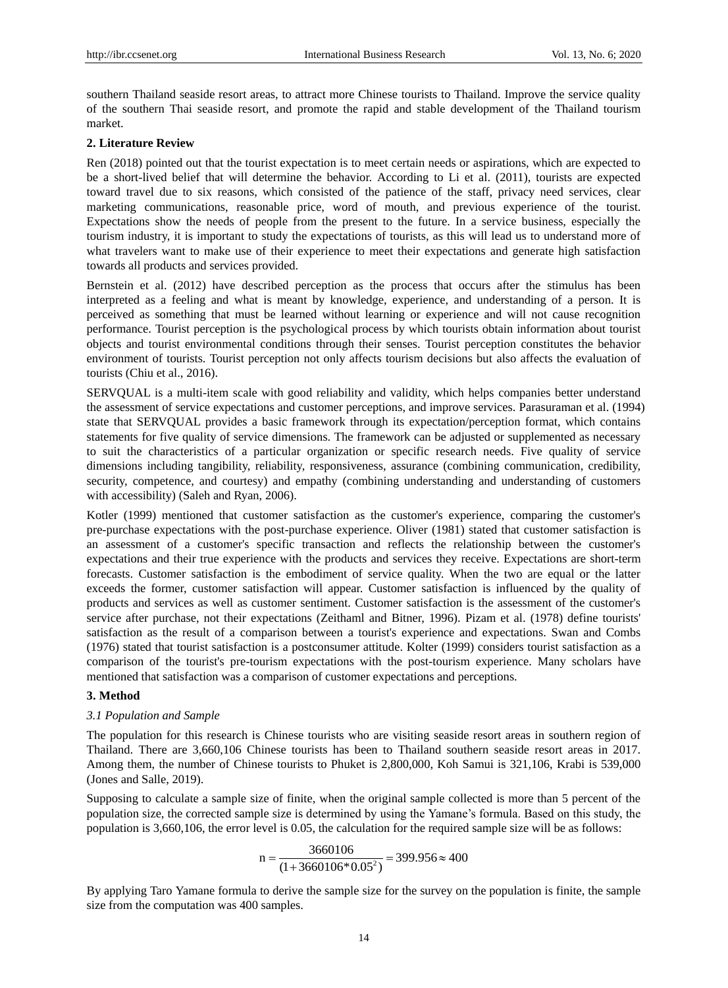southern Thailand seaside resort areas, to attract more Chinese tourists to Thailand. Improve the service quality of the southern Thai seaside resort, and promote the rapid and stable development of the Thailand tourism market.

#### **2. Literature Review**

Ren (2018) pointed out that the tourist expectation is to meet certain needs or aspirations, which are expected to be a short-lived belief that will determine the behavior. According to Li et al. (2011), tourists are expected toward travel due to six reasons, which consisted of the patience of the staff, privacy need services, clear marketing communications, reasonable price, word of mouth, and previous experience of the tourist. Expectations show the needs of people from the present to the future. In a service business, especially the tourism industry, it is important to study the expectations of tourists, as this will lead us to understand more of what travelers want to make use of their experience to meet their expectations and generate high satisfaction towards all products and services provided.

Bernstein et al. (2012) have described perception as the process that occurs after the stimulus has been interpreted as a feeling and what is meant by knowledge, experience, and understanding of a person. It is perceived as something that must be learned without learning or experience and will not cause recognition performance. Tourist perception is the psychological process by which tourists obtain information about tourist objects and tourist environmental conditions through their senses. Tourist perception constitutes the behavior environment of tourists. Tourist perception not only affects tourism decisions but also affects the evaluation of tourists (Chiu et al., 2016).

SERVQUAL is a multi-item scale with good reliability and validity, which helps companies better understand the assessment of service expectations and customer perceptions, and improve services. Parasuraman et al. (1994) state that SERVQUAL provides a basic framework through its expectation/perception format, which contains statements for five quality of service dimensions. The framework can be adjusted or supplemented as necessary to suit the characteristics of a particular organization or specific research needs. Five quality of service dimensions including tangibility, reliability, responsiveness, assurance (combining communication, credibility, security, competence, and courtesy) and empathy (combining understanding and understanding of customers with accessibility) (Saleh and Ryan, 2006).

Kotler (1999) mentioned that customer satisfaction as the customer's experience, comparing the customer's pre-purchase expectations with the post-purchase experience. Oliver (1981) stated that customer satisfaction is an assessment of a customer's specific transaction and reflects the relationship between the customer's expectations and their true experience with the products and services they receive. Expectations are short-term forecasts. Customer satisfaction is the embodiment of service quality. When the two are equal or the latter exceeds the former, customer satisfaction will appear. Customer satisfaction is influenced by the quality of products and services as well as customer sentiment. Customer satisfaction is the assessment of the customer's service after purchase, not their expectations (Zeithaml and Bitner, 1996). Pizam et al. (1978) define tourists' satisfaction as the result of a comparison between a tourist's experience and expectations. Swan and Combs (1976) stated that tourist satisfaction is a postconsumer attitude. Kolter (1999) considers tourist satisfaction as a comparison of the tourist's pre-tourism expectations with the post-tourism experience. Many scholars have mentioned that satisfaction was a comparison of customer expectations and perceptions.

#### **3. Method**

#### *3.1 Population and Sample*

The population for this research is Chinese tourists who are visiting seaside resort areas in southern region of Thailand. There are 3,660,106 Chinese tourists has been to Thailand southern seaside resort areas in 2017. Among them, the number of Chinese tourists to Phuket is 2,800,000, Koh Samui is 321,106, Krabi is 539,000 (Jones and Salle, 2019).

Supposing to calculate a sample size of finite, when the original sample collected is more than 5 percent of the population size, the corrected sample size is determined by using the Yamane's formula. Based on this study, the population is 3,660,106, the error level is 0.05, the calculation for the required sample size will be as follows:

$$
n = \frac{3660106}{(1 + 3660106 \cdot 0.05^2)} = 399.956 \approx 400
$$

By applying Taro Yamane formula to derive the sample size for the survey on the population is finite, the sample size from the computation was 400 samples.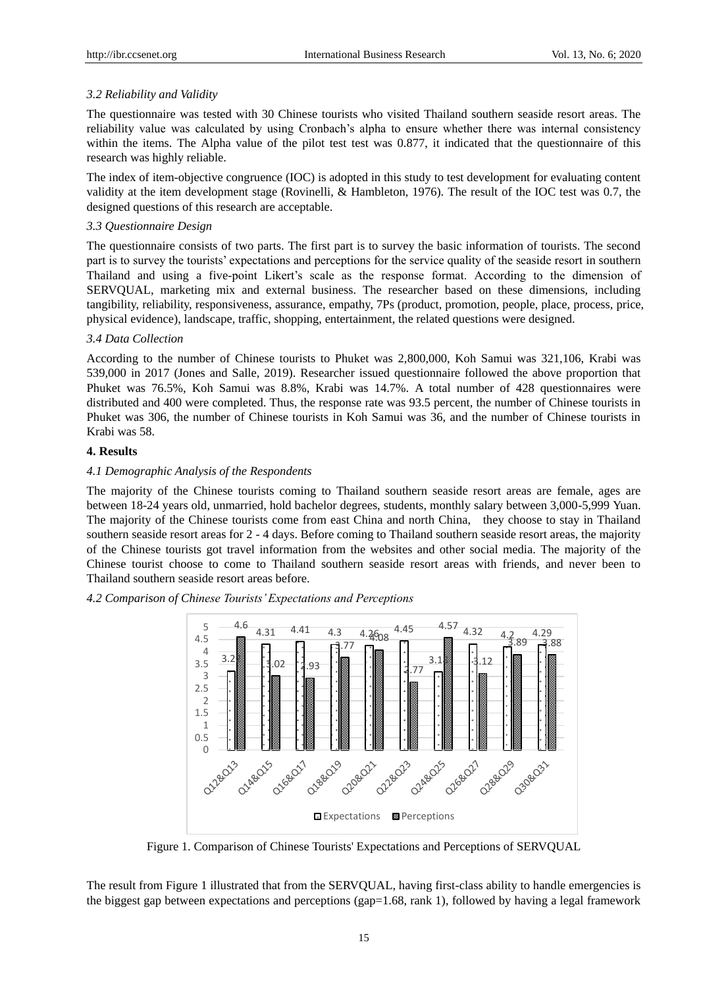### *3.2 Reliability and Validity*

The questionnaire was tested with 30 Chinese tourists who visited Thailand southern seaside resort areas. The reliability value was calculated by using Cronbach's alpha to ensure whether there was internal consistency within the items. The Alpha value of the pilot test test was 0.877, it indicated that the questionnaire of this research was highly reliable.

The index of item-objective congruence (IOC) is adopted in this study to test development for evaluating content validity at the item development stage (Rovinelli, & Hambleton, 1976). The result of the IOC test was 0.7, the designed questions of this research are acceptable.

### *3.3 Questionnaire Design*

The questionnaire consists of two parts. The first part is to survey the basic information of tourists. The second part is to survey the tourists' expectations and perceptions for the service quality of the seaside resort in southern Thailand and using a five-point Likert's scale as the response format. According to the dimension of SERVQUAL, marketing mix and external business. The researcher based on these dimensions, including tangibility, reliability, responsiveness, assurance, empathy, 7Ps (product, promotion, people, place, process, price, physical evidence), landscape, traffic, shopping, entertainment, the related questions were designed.

#### *3.4 Data Collection*

According to the number of Chinese tourists to Phuket was 2,800,000, Koh Samui was 321,106, Krabi was 539,000 in 2017 (Jones and Salle, 2019). Researcher issued questionnaire followed the above proportion that Phuket was 76.5%, Koh Samui was 8.8%, Krabi was 14.7%. A total number of 428 questionnaires were distributed and 400 were completed. Thus, the response rate was 93.5 percent, the number of Chinese tourists in Phuket was 306, the number of Chinese tourists in Koh Samui was 36, and the number of Chinese tourists in Krabi was 58.

## **4. Results**

#### *4.1 Demographic Analysis of the Respondents*

The majority of the Chinese tourists coming to Thailand southern seaside resort areas are female, ages are between 18-24 years old, unmarried, hold bachelor degrees, students, monthly salary between 3,000-5,999 Yuan. The majority of the Chinese tourists come from east China and north China, they choose to stay in Thailand southern seaside resort areas for 2 - 4 days. Before coming to Thailand southern seaside resort areas, the majority of the Chinese tourists got travel information from the websites and other social media. The majority of the Chinese tourist choose to come to Thailand southern seaside resort areas with friends, and never been to Thailand southern seaside resort areas before.

*4.2 Comparison of Chinese Tourists' Expectations and Perceptions*



Figure 1. Comparison of Chinese Tourists' Expectations and Perceptions of SERVQUAL

The result from Figure 1 illustrated that from the SERVQUAL, having first-class ability to handle emergencies is the biggest gap between expectations and perceptions (gap=1.68, rank 1), followed by having a legal framework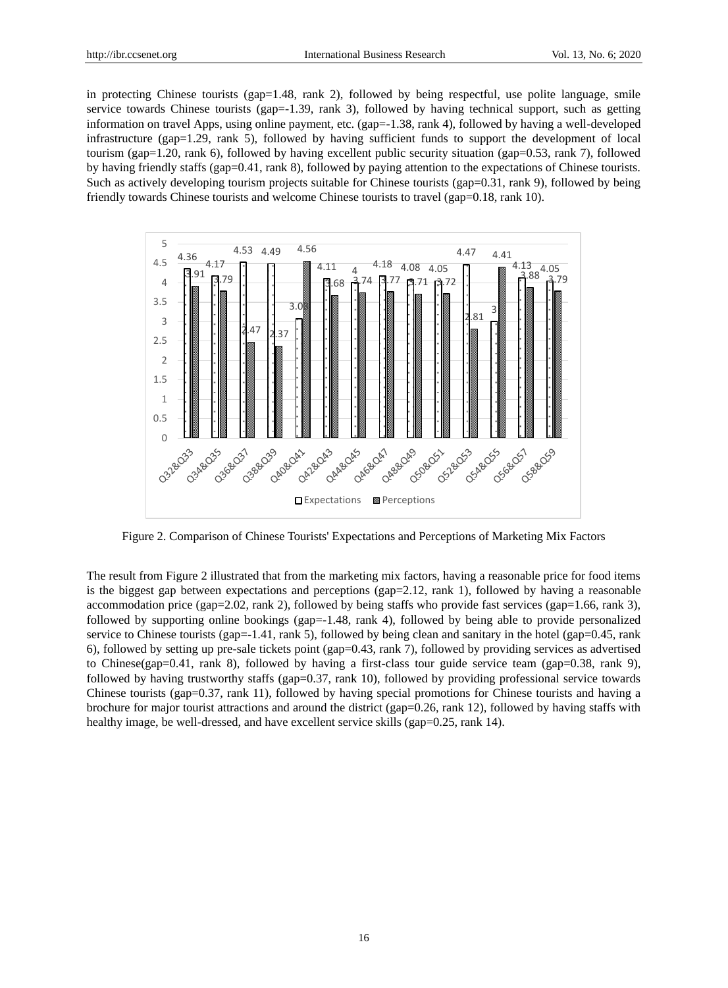in protecting Chinese tourists (gap=1.48, rank 2), followed by being respectful, use polite language, smile service towards Chinese tourists (gap=-1.39, rank 3), followed by having technical support, such as getting information on travel Apps, using online payment, etc. (gap=-1.38, rank 4), followed by having a well-developed infrastructure (gap=1.29, rank 5), followed by having sufficient funds to support the development of local tourism (gap=1.20, rank 6), followed by having excellent public security situation (gap=0.53, rank 7), followed by having friendly staffs (gap=0.41, rank 8), followed by paying attention to the expectations of Chinese tourists. Such as actively developing tourism projects suitable for Chinese tourists (gap=0.31, rank 9), followed by being friendly towards Chinese tourists and welcome Chinese tourists to travel (gap=0.18, rank 10).



Figure 2. Comparison of Chinese Tourists' Expectations and Perceptions of Marketing Mix Factors

The result from Figure 2 illustrated that from the marketing mix factors, having a reasonable price for food items is the biggest gap between expectations and perceptions (gap=2.12, rank 1), followed by having a reasonable accommodation price (gap=2.02, rank 2), followed by being staffs who provide fast services (gap=1.66, rank 3), followed by supporting online bookings (gap=-1.48, rank 4), followed by being able to provide personalized service to Chinese tourists (gap=-1.41, rank 5), followed by being clean and sanitary in the hotel (gap=0.45, rank 6), followed by setting up pre-sale tickets point (gap=0.43, rank 7), followed by providing services as advertised to Chinese(gap=0.41, rank 8), followed by having a first-class tour guide service team (gap=0.38, rank 9), followed by having trustworthy staffs (gap=0.37, rank 10), followed by providing professional service towards Chinese tourists (gap=0.37, rank 11), followed by having special promotions for Chinese tourists and having a brochure for major tourist attractions and around the district (gap=0.26, rank 12), followed by having staffs with healthy image, be well-dressed, and have excellent service skills (gap=0.25, rank 14).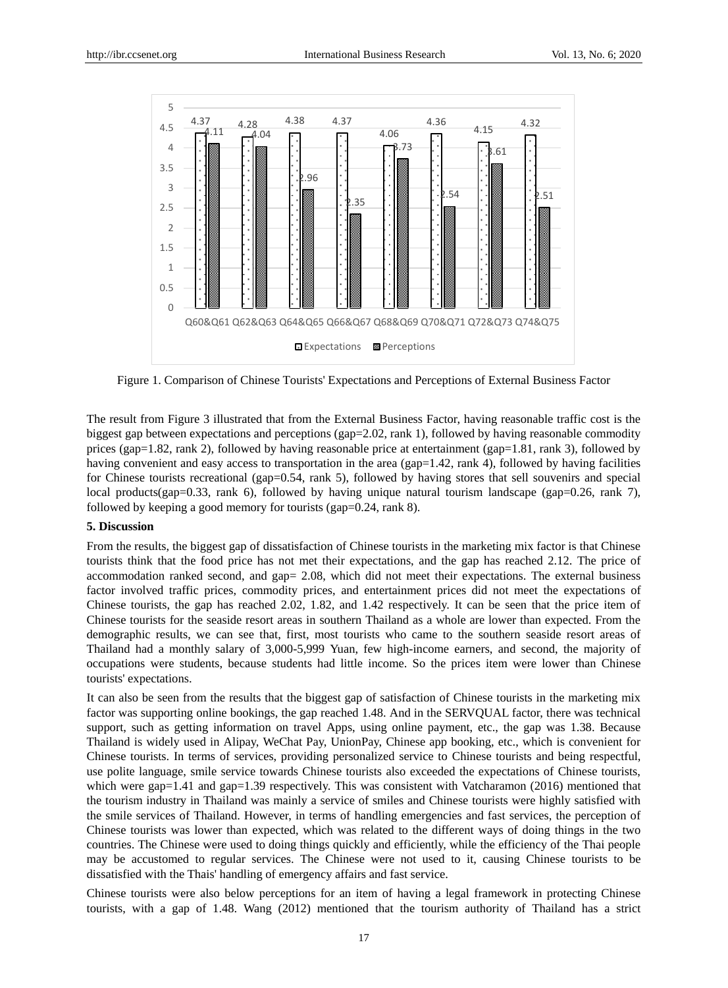

Figure 1. Comparison of Chinese Tourists' Expectations and Perceptions of External Business Factor

The result from Figure 3 illustrated that from the External Business Factor, having reasonable traffic cost is the biggest gap between expectations and perceptions (gap=2.02, rank 1), followed by having reasonable commodity prices (gap=1.82, rank 2), followed by having reasonable price at entertainment (gap=1.81, rank 3), followed by having convenient and easy access to transportation in the area (gap=1.42, rank 4), followed by having facilities for Chinese tourists recreational (gap=0.54, rank 5), followed by having stores that sell souvenirs and special local products(gap=0.33, rank 6), followed by having unique natural tourism landscape (gap=0.26, rank 7), followed by keeping a good memory for tourists (gap=0.24, rank 8).

#### **5. Discussion**

From the results, the biggest gap of dissatisfaction of Chinese tourists in the marketing mix factor is that Chinese tourists think that the food price has not met their expectations, and the gap has reached 2.12. The price of accommodation ranked second, and gap= 2.08, which did not meet their expectations. The external business factor involved traffic prices, commodity prices, and entertainment prices did not meet the expectations of Chinese tourists, the gap has reached 2.02, 1.82, and 1.42 respectively. It can be seen that the price item of Chinese tourists for the seaside resort areas in southern Thailand as a whole are lower than expected. From the demographic results, we can see that, first, most tourists who came to the southern seaside resort areas of Thailand had a monthly salary of 3,000-5,999 Yuan, few high-income earners, and second, the majority of occupations were students, because students had little income. So the prices item were lower than Chinese tourists' expectations.

It can also be seen from the results that the biggest gap of satisfaction of Chinese tourists in the marketing mix factor was supporting online bookings, the gap reached 1.48. And in the SERVQUAL factor, there was technical support, such as getting information on travel Apps, using online payment, etc., the gap was 1.38. Because Thailand is widely used in Alipay, WeChat Pay, UnionPay, Chinese app booking, etc., which is convenient for Chinese tourists. In terms of services, providing personalized service to Chinese tourists and being respectful, use polite language, smile service towards Chinese tourists also exceeded the expectations of Chinese tourists, which were gap=1.41 and gap=1.39 respectively. This was consistent with Vatcharamon (2016) mentioned that the tourism industry in Thailand was mainly a service of smiles and Chinese tourists were highly satisfied with the smile services of Thailand. However, in terms of handling emergencies and fast services, the perception of Chinese tourists was lower than expected, which was related to the different ways of doing things in the two countries. The Chinese were used to doing things quickly and efficiently, while the efficiency of the Thai people may be accustomed to regular services. The Chinese were not used to it, causing Chinese tourists to be dissatisfied with the Thais' handling of emergency affairs and fast service.

Chinese tourists were also below perceptions for an item of having a legal framework in protecting Chinese tourists, with a gap of 1.48. Wang (2012) mentioned that the tourism authority of Thailand has a strict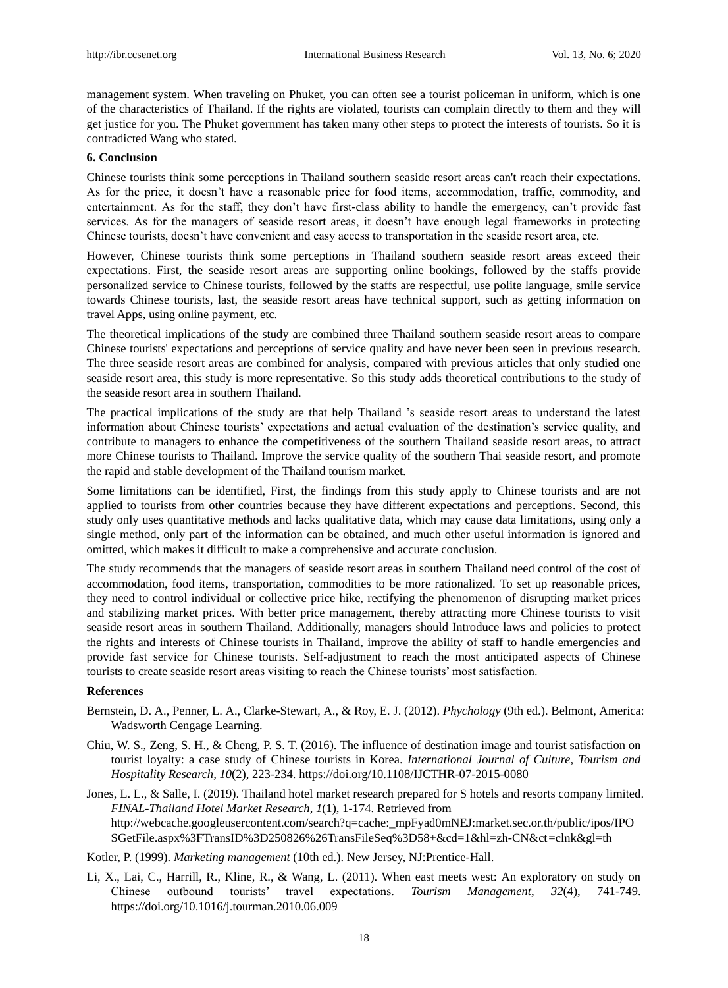management system. When traveling on Phuket, you can often see a tourist policeman in uniform, which is one of the characteristics of Thailand. If the rights are violated, tourists can complain directly to them and they will get justice for you. The Phuket government has taken many other steps to protect the interests of tourists. So it is contradicted Wang who stated.

#### **6. Conclusion**

Chinese tourists think some perceptions in Thailand southern seaside resort areas can't reach their expectations. As for the price, it doesn't have a reasonable price for food items, accommodation, traffic, commodity, and entertainment. As for the staff, they don't have first-class ability to handle the emergency, can't provide fast services. As for the managers of seaside resort areas, it doesn't have enough legal frameworks in protecting Chinese tourists, doesn't have convenient and easy access to transportation in the seaside resort area, etc.

However, Chinese tourists think some perceptions in Thailand southern seaside resort areas exceed their expectations. First, the seaside resort areas are supporting online bookings, followed by the staffs provide personalized service to Chinese tourists, followed by the staffs are respectful, use polite language, smile service towards Chinese tourists, last, the seaside resort areas have technical support, such as getting information on travel Apps, using online payment, etc.

The theoretical implications of the study are combined three Thailand southern seaside resort areas to compare Chinese tourists' expectations and perceptions of service quality and have never been seen in previous research. The three seaside resort areas are combined for analysis, compared with previous articles that only studied one seaside resort area, this study is more representative. So this study adds theoretical contributions to the study of the seaside resort area in southern Thailand.

The practical implications of the study are that help Thailand 's seaside resort areas to understand the latest information about Chinese tourists' expectations and actual evaluation of the destination's service quality, and contribute to managers to enhance the competitiveness of the southern Thailand seaside resort areas, to attract more Chinese tourists to Thailand. Improve the service quality of the southern Thai seaside resort, and promote the rapid and stable development of the Thailand tourism market.

Some limitations can be identified, First, the findings from this study apply to Chinese tourists and are not applied to tourists from other countries because they have different expectations and perceptions. Second, this study only uses quantitative methods and lacks qualitative data, which may cause data limitations, using only a single method, only part of the information can be obtained, and much other useful information is ignored and omitted, which makes it difficult to make a comprehensive and accurate conclusion.

The study recommends that the managers of seaside resort areas in southern Thailand need control of the cost of accommodation, food items, transportation, commodities to be more rationalized. To set up reasonable prices, they need to control individual or collective price hike, rectifying the phenomenon of disrupting market prices and stabilizing market prices. With better price management, thereby attracting more Chinese tourists to visit seaside resort areas in southern Thailand. Additionally, managers should Introduce laws and policies to protect the rights and interests of Chinese tourists in Thailand, improve the ability of staff to handle emergencies and provide fast service for Chinese tourists. Self-adjustment to reach the most anticipated aspects of Chinese tourists to create seaside resort areas visiting to reach the Chinese tourists' most satisfaction.

#### **References**

- Bernstein, D. A., Penner, L. A., Clarke-Stewart, A., & Roy, E. J. (2012). *Phychology* (9th ed.). Belmont, America: Wadsworth Cengage Learning.
- Chiu, W. S., Zeng, S. H., & Cheng, P. S. T. (2016). The influence of destination image and tourist satisfaction on tourist loyalty: a case study of Chinese tourists in Korea. *International Journal of Culture, Tourism and Hospitality Research, 10*(2), 223-234. https://doi.org/10.1108/IJCTHR-07-2015-0080
- Jones, L. L., & Salle, I. (2019). Thailand hotel market research prepared for S hotels and resorts company limited. *FINAL-Thailand Hotel Market Research*, *1*(1), 1-174. Retrieved from http://webcache.googleusercontent.com/search?q=cache:\_mpFyad0mNEJ:market.sec.or.th/public/ipos/IPO SGetFile.aspx%3FTransID%3D250826%26TransFileSeq%3D58+&cd=1&hl=zh-CN&ct=clnk&gl=th
- Kotler, P. (1999). *Marketing management* (10th ed.). New Jersey, NJ:Prentice-Hall.
- Li, X., Lai, C., Harrill, R., Kline, R., & Wang, L. (2011). When east meets west: An exploratory on study on Chinese outbound tourists' travel expectations. *Tourism Management*, *32*(4), 741-749. https://doi.org/10.1016/j.tourman.2010.06.009